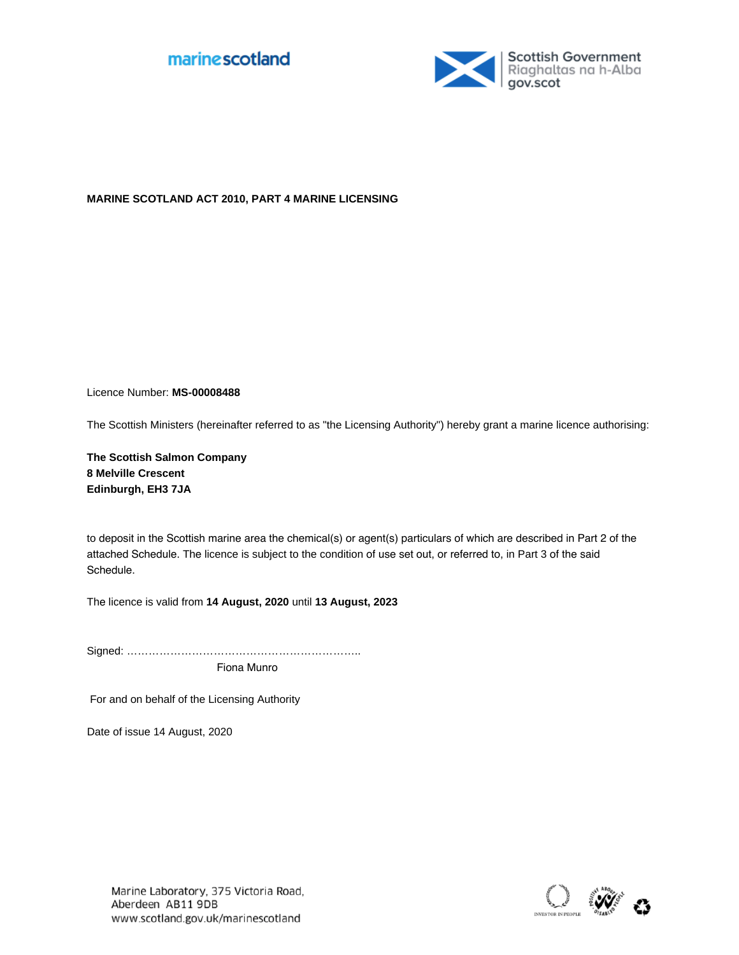



## **MARINE SCOTLAND ACT 2010, PART 4 MARINE LICENSING**

Licence Number: **MS-00008488**

The Scottish Ministers (hereinafter referred to as "the Licensing Authority") hereby grant a marine licence authorising:

**The Scottish Salmon Company 8 Melville Crescent Edinburgh, EH3 7JA**

to deposit in the Scottish marine area the chemical(s) or agent(s) particulars of which are described in Part 2 of the attached Schedule. The licence is subject to the condition of use set out, or referred to, in Part 3 of the said Schedule.

The licence is valid from **14 August, 2020** until **13 August, 2023**

Signed: ………………………………………………………..

Fiona Munro

For and on behalf of the Licensing Authority

Date of issue 14 August, 2020

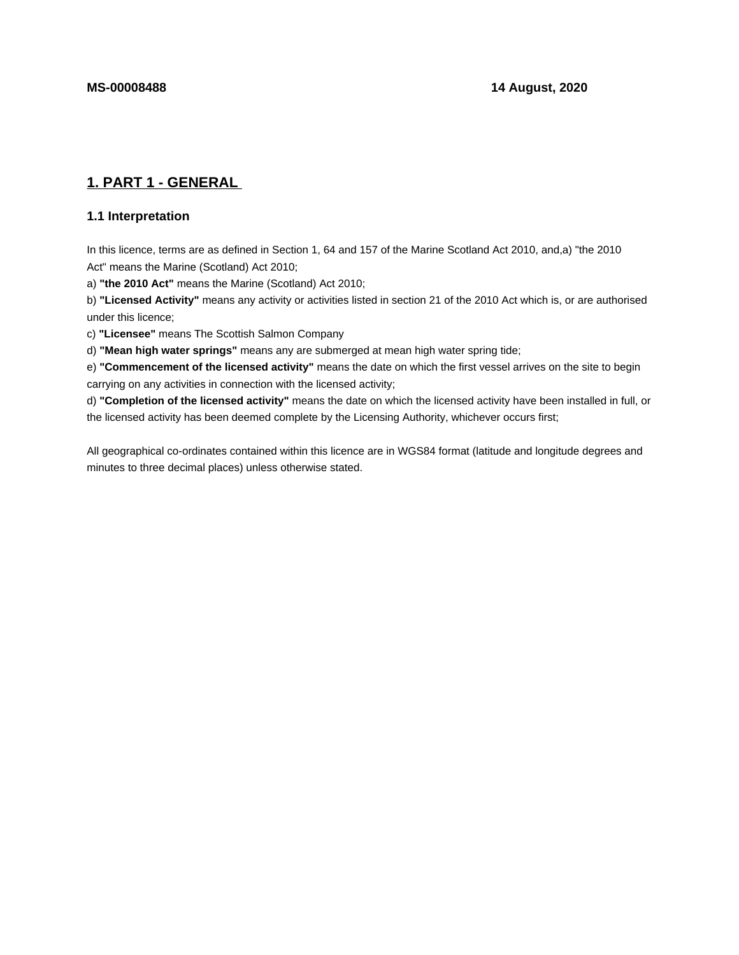# **1. PART 1 - GENERAL**

## **1.1 Interpretation**

In this licence, terms are as defined in Section 1, 64 and 157 of the Marine Scotland Act 2010, and,a) "the 2010 Act" means the Marine (Scotland) Act 2010;

a) **"the 2010 Act"** means the Marine (Scotland) Act 2010;

b) **"Licensed Activity"** means any activity or activities listed in section 21 of the 2010 Act which is, or are authorised under this licence;

c) **"Licensee"** means The Scottish Salmon Company

d) **"Mean high water springs"** means any are submerged at mean high water spring tide;

e) **"Commencement of the licensed activity"** means the date on which the first vessel arrives on the site to begin carrying on any activities in connection with the licensed activity;

d) **"Completion of the licensed activity"** means the date on which the licensed activity have been installed in full, or the licensed activity has been deemed complete by the Licensing Authority, whichever occurs first;

All geographical co-ordinates contained within this licence are in WGS84 format (latitude and longitude degrees and minutes to three decimal places) unless otherwise stated.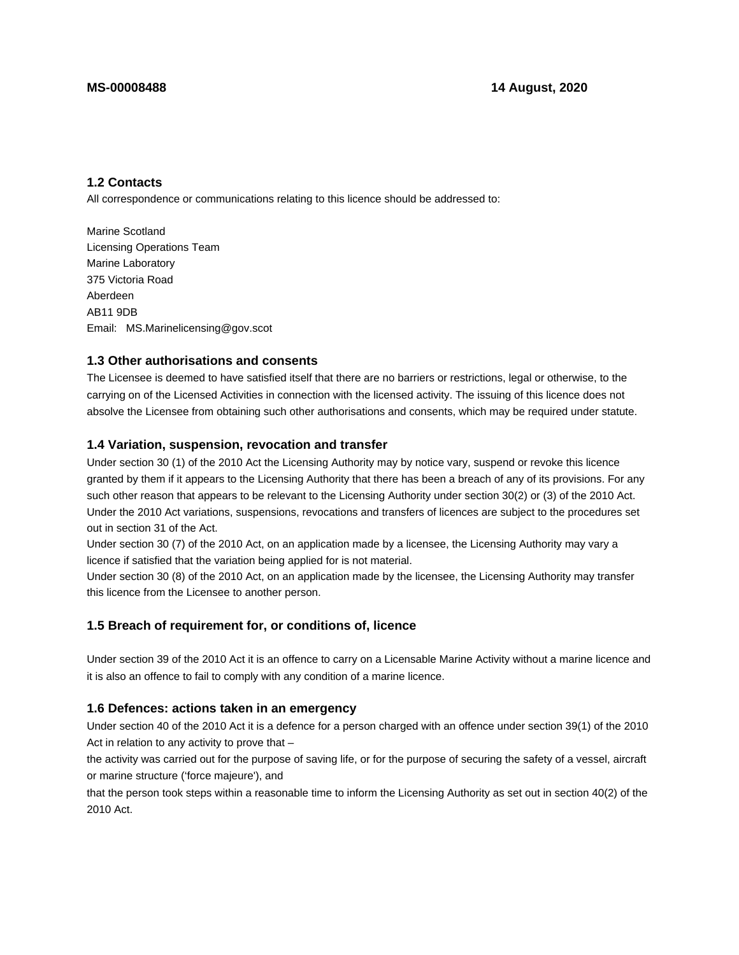## **1.2 Contacts**

All correspondence or communications relating to this licence should be addressed to:

Marine Scotland Licensing Operations Team Marine Laboratory 375 Victoria Road Aberdeen AB11 9DB Email: MS.Marinelicensing@gov.scot

#### **1.3 Other authorisations and consents**

The Licensee is deemed to have satisfied itself that there are no barriers or restrictions, legal or otherwise, to the carrying on of the Licensed Activities in connection with the licensed activity. The issuing of this licence does not absolve the Licensee from obtaining such other authorisations and consents, which may be required under statute.

#### **1.4 Variation, suspension, revocation and transfer**

Under section 30 (1) of the 2010 Act the Licensing Authority may by notice vary, suspend or revoke this licence granted by them if it appears to the Licensing Authority that there has been a breach of any of its provisions. For any such other reason that appears to be relevant to the Licensing Authority under section 30(2) or (3) of the 2010 Act. Under the 2010 Act variations, suspensions, revocations and transfers of licences are subject to the procedures set out in section 31 of the Act.

Under section 30 (7) of the 2010 Act, on an application made by a licensee, the Licensing Authority may vary a licence if satisfied that the variation being applied for is not material.

Under section 30 (8) of the 2010 Act, on an application made by the licensee, the Licensing Authority may transfer this licence from the Licensee to another person.

#### **1.5 Breach of requirement for, or conditions of, licence**

Under section 39 of the 2010 Act it is an offence to carry on a Licensable Marine Activity without a marine licence and it is also an offence to fail to comply with any condition of a marine licence.

#### **1.6 Defences: actions taken in an emergency**

Under section 40 of the 2010 Act it is a defence for a person charged with an offence under section 39(1) of the 2010 Act in relation to any activity to prove that –

the activity was carried out for the purpose of saving life, or for the purpose of securing the safety of a vessel, aircraft or marine structure ('force majeure'), and

that the person took steps within a reasonable time to inform the Licensing Authority as set out in section 40(2) of the 2010 Act.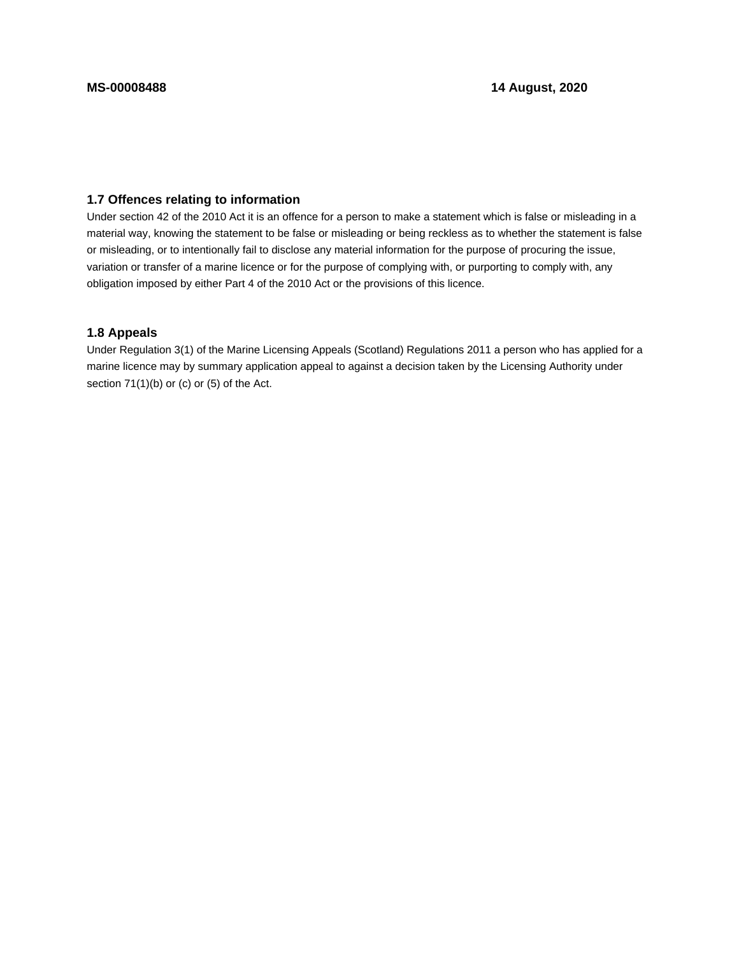## **1.7 Offences relating to information**

Under section 42 of the 2010 Act it is an offence for a person to make a statement which is false or misleading in a material way, knowing the statement to be false or misleading or being reckless as to whether the statement is false or misleading, or to intentionally fail to disclose any material information for the purpose of procuring the issue, variation or transfer of a marine licence or for the purpose of complying with, or purporting to comply with, any obligation imposed by either Part 4 of the 2010 Act or the provisions of this licence.

## **1.8 Appeals**

Under Regulation 3(1) of the Marine Licensing Appeals (Scotland) Regulations 2011 a person who has applied for a marine licence may by summary application appeal to against a decision taken by the Licensing Authority under section 71(1)(b) or (c) or (5) of the Act.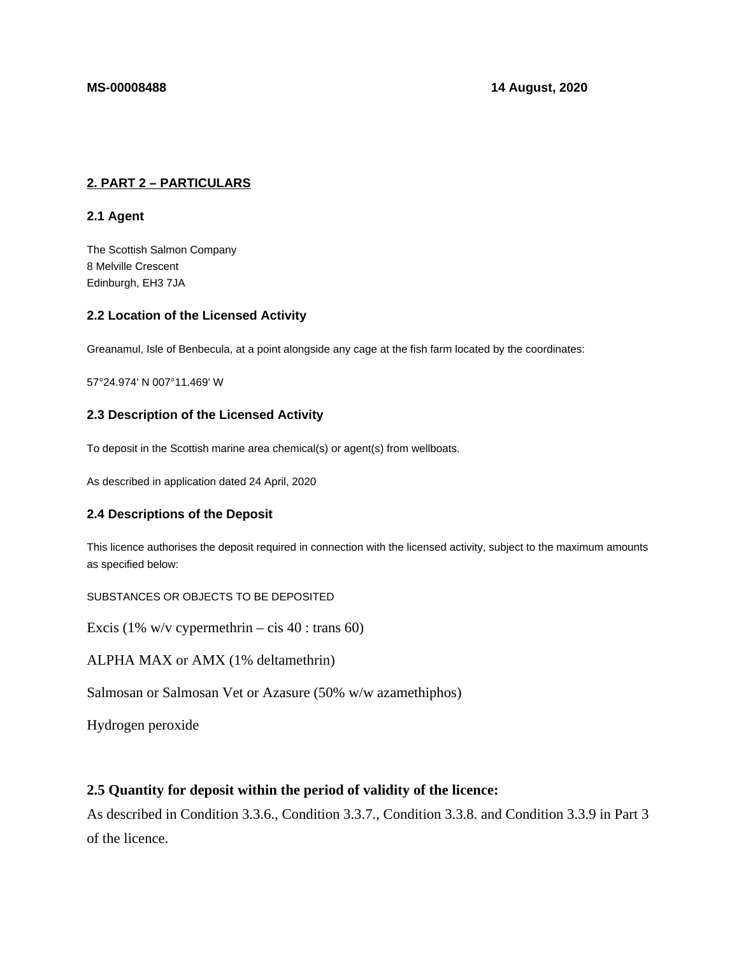## **2. PART 2 – PARTICULARS**

## **2.1 Agent**

The Scottish Salmon Company 8 Melville Crescent Edinburgh, EH3 7JA

## **2.2 Location of the Licensed Activity**

Greanamul, Isle of Benbecula, at a point alongside any cage at the fish farm located by the coordinates:

57°24.974' N 007°11.469' W

## **2.3 Description of the Licensed Activity**

To deposit in the Scottish marine area chemical(s) or agent(s) from wellboats.

As described in application dated 24 April, 2020

## **2.4 Descriptions of the Deposit**

This licence authorises the deposit required in connection with the licensed activity, subject to the maximum amounts as specified below:

SUBSTANCES OR OBJECTS TO BE DEPOSITED

Excis (1% w/v cypermethrin – cis 40 : trans 60)

ALPHA MAX or AMX (1% deltamethrin)

Salmosan or Salmosan Vet or Azasure (50% w/w azamethiphos)

Hydrogen peroxide

## **2.5 Quantity for deposit within the period of validity of the licence:**

As described in Condition 3.3.6., Condition 3.3.7., Condition 3.3.8. and Condition 3.3.9 in Part 3 of the licence.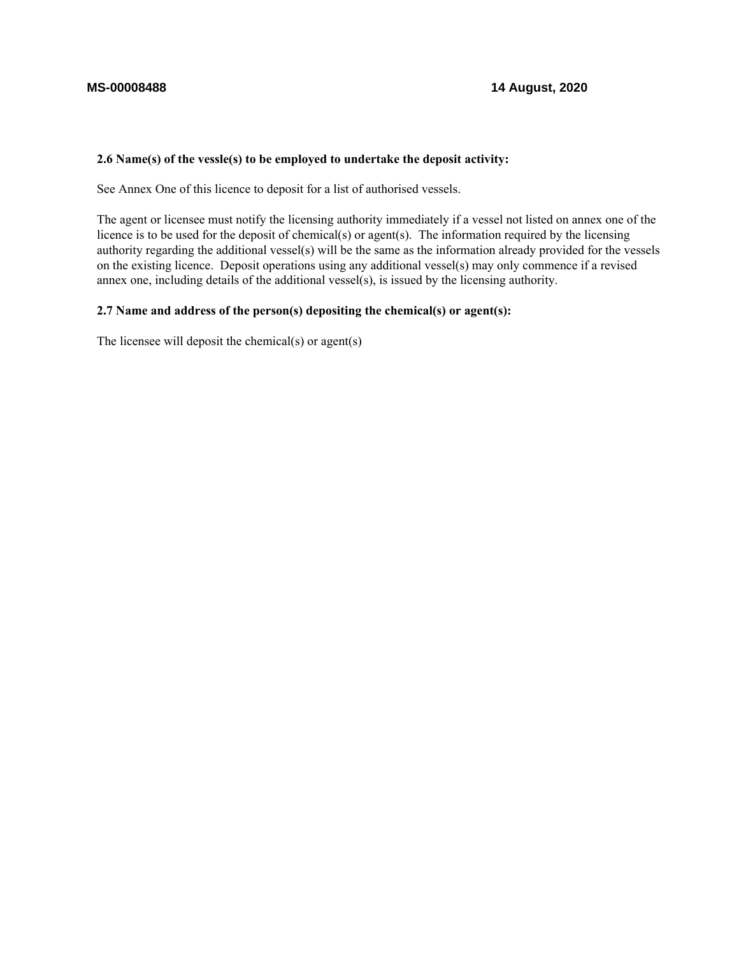## **2.6 Name(s) of the vessle(s) to be employed to undertake the deposit activity:**

See Annex One of this licence to deposit for a list of authorised vessels.

The agent or licensee must notify the licensing authority immediately if a vessel not listed on annex one of the licence is to be used for the deposit of chemical(s) or agent(s). The information required by the licensing authority regarding the additional vessel(s) will be the same as the information already provided for the vessels on the existing licence. Deposit operations using any additional vessel(s) may only commence if a revised annex one, including details of the additional vessel(s), is issued by the licensing authority.

#### **2.7 Name and address of the person(s) depositing the chemical(s) or agent(s):**

The licensee will deposit the chemical(s) or agent(s)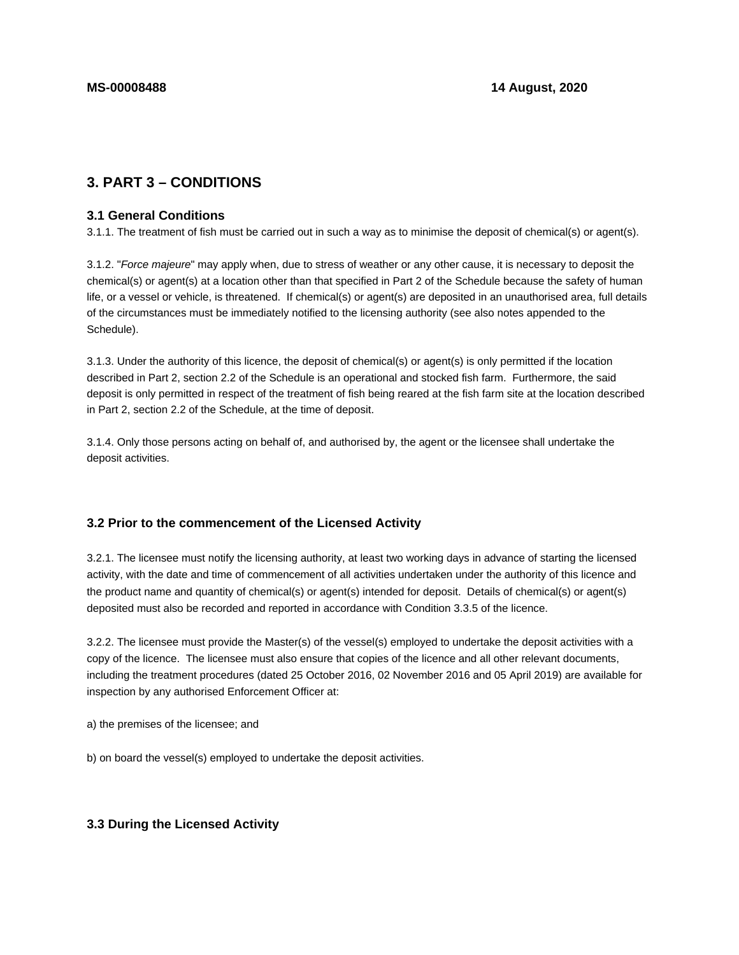# **3. PART 3 – CONDITIONS**

#### **3.1 General Conditions**

3.1.1. The treatment of fish must be carried out in such a way as to minimise the deposit of chemical(s) or agent(s).

3.1.2. "Force majeure" may apply when, due to stress of weather or any other cause, it is necessary to deposit the chemical(s) or agent(s) at a location other than that specified in Part 2 of the Schedule because the safety of human life, or a vessel or vehicle, is threatened. If chemical(s) or agent(s) are deposited in an unauthorised area, full details of the circumstances must be immediately notified to the licensing authority (see also notes appended to the Schedule).

3.1.3. Under the authority of this licence, the deposit of chemical(s) or agent(s) is only permitted if the location described in Part 2, section 2.2 of the Schedule is an operational and stocked fish farm. Furthermore, the said deposit is only permitted in respect of the treatment of fish being reared at the fish farm site at the location described in Part 2, section 2.2 of the Schedule, at the time of deposit.

3.1.4. Only those persons acting on behalf of, and authorised by, the agent or the licensee shall undertake the deposit activities.

## **3.2 Prior to the commencement of the Licensed Activity**

3.2.1. The licensee must notify the licensing authority, at least two working days in advance of starting the licensed activity, with the date and time of commencement of all activities undertaken under the authority of this licence and the product name and quantity of chemical(s) or agent(s) intended for deposit. Details of chemical(s) or agent(s) deposited must also be recorded and reported in accordance with Condition 3.3.5 of the licence.

3.2.2. The licensee must provide the Master(s) of the vessel(s) employed to undertake the deposit activities with a copy of the licence. The licensee must also ensure that copies of the licence and all other relevant documents, including the treatment procedures (dated 25 October 2016, 02 November 2016 and 05 April 2019) are available for inspection by any authorised Enforcement Officer at:

a) the premises of the licensee; and

b) on board the vessel(s) employed to undertake the deposit activities.

#### **3.3 During the Licensed Activity**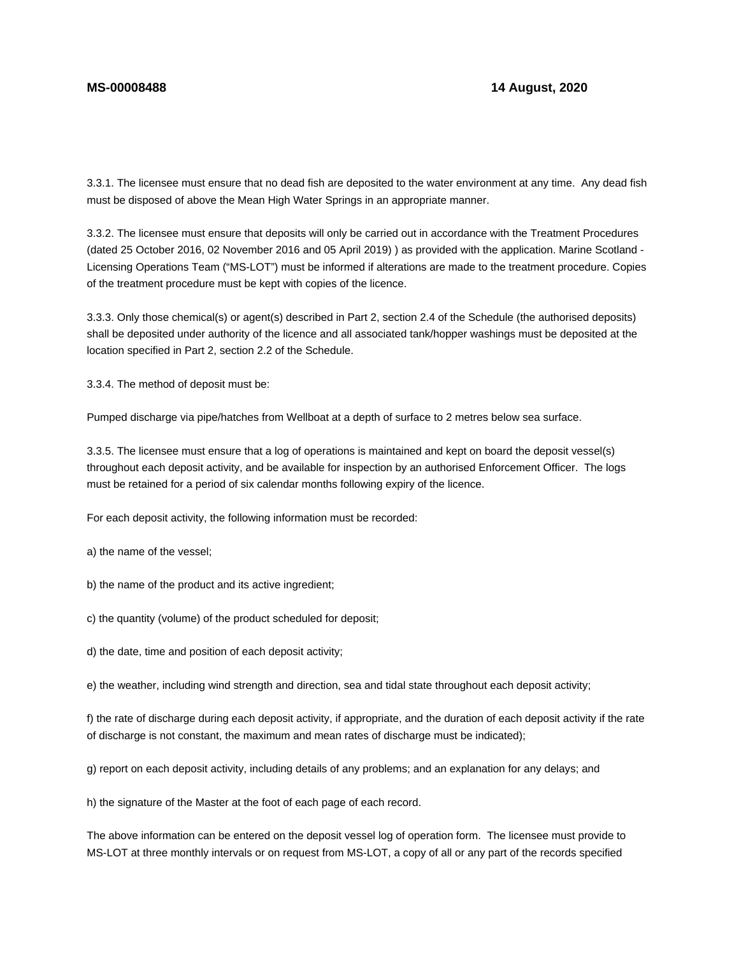3.3.1. The licensee must ensure that no dead fish are deposited to the water environment at any time. Any dead fish must be disposed of above the Mean High Water Springs in an appropriate manner.

3.3.2. The licensee must ensure that deposits will only be carried out in accordance with the Treatment Procedures (dated 25 October 2016, 02 November 2016 and 05 April 2019) ) as provided with the application. Marine Scotland - Licensing Operations Team ("MS-LOT") must be informed if alterations are made to the treatment procedure. Copies of the treatment procedure must be kept with copies of the licence.

3.3.3. Only those chemical(s) or agent(s) described in Part 2, section 2.4 of the Schedule (the authorised deposits) shall be deposited under authority of the licence and all associated tank/hopper washings must be deposited at the location specified in Part 2, section 2.2 of the Schedule.

3.3.4. The method of deposit must be:

Pumped discharge via pipe/hatches from Wellboat at a depth of surface to 2 metres below sea surface.

3.3.5. The licensee must ensure that a log of operations is maintained and kept on board the deposit vessel(s) throughout each deposit activity, and be available for inspection by an authorised Enforcement Officer. The logs must be retained for a period of six calendar months following expiry of the licence.

For each deposit activity, the following information must be recorded:

a) the name of the vessel;

b) the name of the product and its active ingredient;

c) the quantity (volume) of the product scheduled for deposit;

d) the date, time and position of each deposit activity;

e) the weather, including wind strength and direction, sea and tidal state throughout each deposit activity;

f) the rate of discharge during each deposit activity, if appropriate, and the duration of each deposit activity if the rate of discharge is not constant, the maximum and mean rates of discharge must be indicated);

g) report on each deposit activity, including details of any problems; and an explanation for any delays; and

h) the signature of the Master at the foot of each page of each record.

The above information can be entered on the deposit vessel log of operation form. The licensee must provide to MS-LOT at three monthly intervals or on request from MS-LOT, a copy of all or any part of the records specified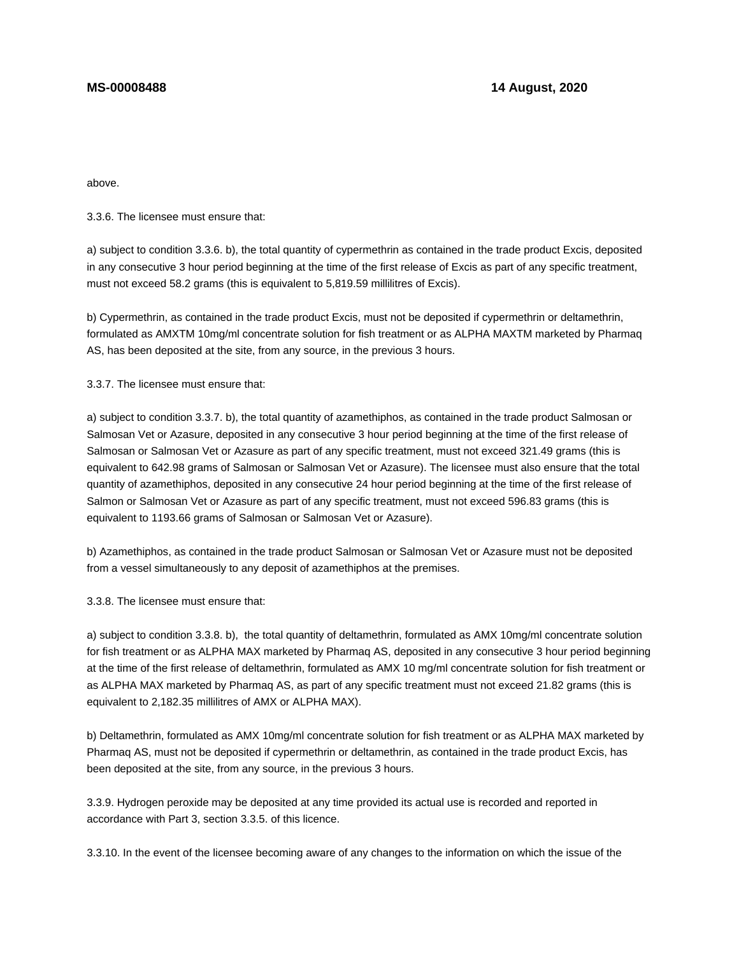above.

3.3.6. The licensee must ensure that:

a) subject to condition 3.3.6. b), the total quantity of cypermethrin as contained in the trade product Excis, deposited in any consecutive 3 hour period beginning at the time of the first release of Excis as part of any specific treatment, must not exceed 58.2 grams (this is equivalent to 5,819.59 millilitres of Excis).

b) Cypermethrin, as contained in the trade product Excis, must not be deposited if cypermethrin or deltamethrin, formulated as AMXTM 10mg/ml concentrate solution for fish treatment or as ALPHA MAXTM marketed by Pharmaq AS, has been deposited at the site, from any source, in the previous 3 hours.

3.3.7. The licensee must ensure that:

a) subject to condition 3.3.7. b), the total quantity of azamethiphos, as contained in the trade product Salmosan or Salmosan Vet or Azasure, deposited in any consecutive 3 hour period beginning at the time of the first release of Salmosan or Salmosan Vet or Azasure as part of any specific treatment, must not exceed 321.49 grams (this is equivalent to 642.98 grams of Salmosan or Salmosan Vet or Azasure). The licensee must also ensure that the total quantity of azamethiphos, deposited in any consecutive 24 hour period beginning at the time of the first release of Salmon or Salmosan Vet or Azasure as part of any specific treatment, must not exceed 596.83 grams (this is equivalent to 1193.66 grams of Salmosan or Salmosan Vet or Azasure).

b) Azamethiphos, as contained in the trade product Salmosan or Salmosan Vet or Azasure must not be deposited from a vessel simultaneously to any deposit of azamethiphos at the premises.

3.3.8. The licensee must ensure that:

a) subject to condition 3.3.8. b), the total quantity of deltamethrin, formulated as AMX 10mg/ml concentrate solution for fish treatment or as ALPHA MAX marketed by Pharmaq AS, deposited in any consecutive 3 hour period beginning at the time of the first release of deltamethrin, formulated as AMX 10 mg/ml concentrate solution for fish treatment or as ALPHA MAX marketed by Pharmaq AS, as part of any specific treatment must not exceed 21.82 grams (this is equivalent to 2,182.35 millilitres of AMX or ALPHA MAX).

b) Deltamethrin, formulated as AMX 10mg/ml concentrate solution for fish treatment or as ALPHA MAX marketed by Pharmaq AS, must not be deposited if cypermethrin or deltamethrin, as contained in the trade product Excis, has been deposited at the site, from any source, in the previous 3 hours.

3.3.9. Hydrogen peroxide may be deposited at any time provided its actual use is recorded and reported in accordance with Part 3, section 3.3.5. of this licence.

3.3.10. In the event of the licensee becoming aware of any changes to the information on which the issue of the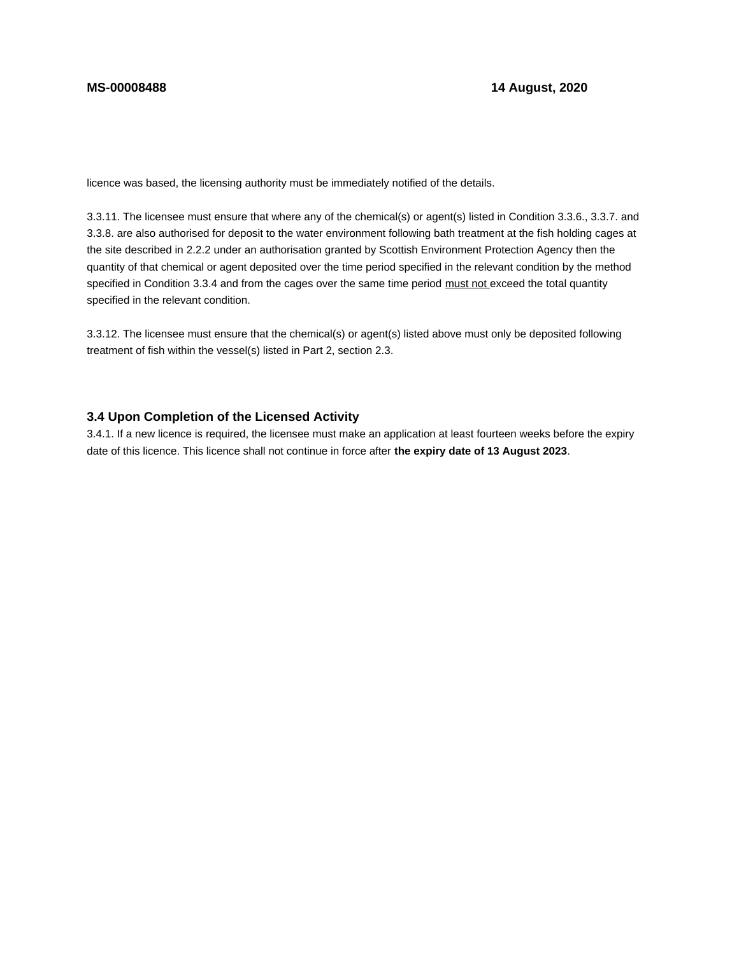licence was based, the licensing authority must be immediately notified of the details.

3.3.11. The licensee must ensure that where any of the chemical(s) or agent(s) listed in Condition 3.3.6., 3.3.7. and 3.3.8. are also authorised for deposit to the water environment following bath treatment at the fish holding cages at the site described in 2.2.2 under an authorisation granted by Scottish Environment Protection Agency then the quantity of that chemical or agent deposited over the time period specified in the relevant condition by the method specified in Condition 3.3.4 and from the cages over the same time period must not exceed the total quantity specified in the relevant condition.

3.3.12. The licensee must ensure that the chemical(s) or agent(s) listed above must only be deposited following treatment of fish within the vessel(s) listed in Part 2, section 2.3.

## **3.4 Upon Completion of the Licensed Activity**

3.4.1. If a new licence is required, the licensee must make an application at least fourteen weeks before the expiry date of this licence. This licence shall not continue in force after **the expiry date of 13 August 2023**.